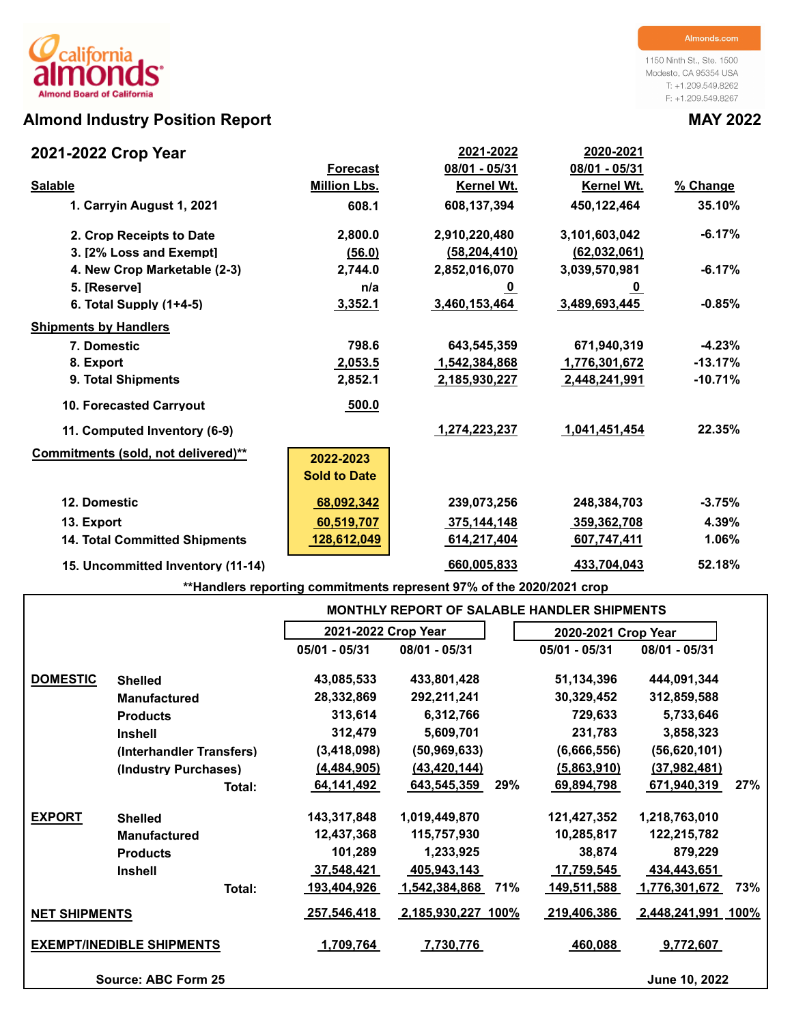# **Almond Industry Position Report MAY 2022**

1150 Ninth St., Ste. 1500 Modesto, CA 95354 USA T: +1.209.549.8262 F: +1.209.549.8267

| 2021-2022 Crop Year                  |                     | 2021-2022      | 2020-2021         |           |
|--------------------------------------|---------------------|----------------|-------------------|-----------|
|                                      | <b>Forecast</b>     | 08/01 - 05/31  | 08/01 - 05/31     |           |
| <b>Salable</b>                       | <b>Million Lbs.</b> | Kernel Wt.     | <b>Kernel Wt.</b> | % Change  |
| 1. Carryin August 1, 2021            | 608.1               | 608,137,394    | 450,122,464       | 35.10%    |
| 2. Crop Receipts to Date             | 2,800.0             | 2,910,220,480  | 3,101,603,042     | $-6.17%$  |
| 3. [2% Loss and Exempt]              | (56.0)              | (58, 204, 410) | (62,032,061)      |           |
| 4. New Crop Marketable (2-3)         | 2,744.0             | 2,852,016,070  | 3,039,570,981     | $-6.17%$  |
| 5. [Reserve]                         | n/a                 | <u>_0</u>      | <u>_0</u>         |           |
| 6. Total Supply $(1+4-5)$            | 3,352.1             | 3,460,153,464  | 3,489,693,445     | $-0.85%$  |
| <b>Shipments by Handlers</b>         |                     |                |                   |           |
| 7. Domestic                          | 798.6               | 643,545,359    | 671,940,319       | $-4.23%$  |
| 8. Export                            | 2,053.5             | 1,542,384,868  | 1,776,301,672     | $-13.17%$ |
| 9. Total Shipments                   | 2,852.1             | 2,185,930,227  | 2,448,241,991     | $-10.71%$ |
| <b>10. Forecasted Carryout</b>       | 500.0               |                |                   |           |
| 11. Computed Inventory (6-9)         |                     | 1,274,223,237  | 1,041,451,454     | 22.35%    |
| Commitments (sold, not delivered)**  | 2022-2023           |                |                   |           |
|                                      | <b>Sold to Date</b> |                |                   |           |
| 12. Domestic                         | 68,092,342          | 239,073,256    | 248,384,703       | $-3.75%$  |
| 13. Export                           | 60,519,707          | 375,144,148    | 359,362,708       | 4.39%     |
| <b>14. Total Committed Shipments</b> | 128,612,049         | 614,217,404    | 607,747,411       | 1.06%     |
| 15. Uncommitted Inventory (11-14)    |                     | 660,005,833    | 433,704,043       | 52.18%    |

**\*\*Handlers reporting commitments represent 97% of the 2020/2021 crop**

|                      |                                  |                 |                                                                                                                                                                                                                                                                                                                                                                                                                  |     | <b>MONTHLY REPORT OF SALABLE HANDLER SHIPMENTS</b> |                    |     |  |  |  |  |  |
|----------------------|----------------------------------|-----------------|------------------------------------------------------------------------------------------------------------------------------------------------------------------------------------------------------------------------------------------------------------------------------------------------------------------------------------------------------------------------------------------------------------------|-----|----------------------------------------------------|--------------------|-----|--|--|--|--|--|
|                      |                                  |                 | 2021-2022 Crop Year<br>2020-2021 Crop Year<br>08/01 - 05/31<br>$05/01 - 05/31$<br>43,085,533<br>433,801,428<br>51,134,396<br>28,332,869<br>292,211,241<br>30,329,452<br>313,614<br>6,312,766<br>729,633<br>312,479<br>5,609,701<br>231,783<br>(50, 969, 633)<br>(3,418,098)<br>(6,666,556)<br>(4, 484, 905)<br>(43, 420, 144)<br>(5,863,910)<br>29%<br>643,545,359<br>69,894,798<br>1,019,449,870<br>121,427,352 |     |                                                    |                    |     |  |  |  |  |  |
|                      |                                  | $05/01 - 05/31$ |                                                                                                                                                                                                                                                                                                                                                                                                                  |     |                                                    | 08/01 - 05/31      |     |  |  |  |  |  |
| <b>DOMESTIC</b>      | <b>Shelled</b>                   |                 |                                                                                                                                                                                                                                                                                                                                                                                                                  |     |                                                    | 444,091,344        |     |  |  |  |  |  |
|                      | <b>Manufactured</b>              |                 |                                                                                                                                                                                                                                                                                                                                                                                                                  |     |                                                    | 312,859,588        |     |  |  |  |  |  |
|                      | <b>Products</b>                  |                 |                                                                                                                                                                                                                                                                                                                                                                                                                  |     |                                                    | 5,733,646          |     |  |  |  |  |  |
|                      | <b>Inshell</b>                   |                 |                                                                                                                                                                                                                                                                                                                                                                                                                  |     |                                                    | 3,858,323          |     |  |  |  |  |  |
|                      | (Interhandler Transfers)         |                 |                                                                                                                                                                                                                                                                                                                                                                                                                  |     |                                                    | (56, 620, 101)     |     |  |  |  |  |  |
|                      | (Industry Purchases)             |                 |                                                                                                                                                                                                                                                                                                                                                                                                                  |     |                                                    | (37, 982, 481)     |     |  |  |  |  |  |
|                      | Total:                           | 64,141,492      |                                                                                                                                                                                                                                                                                                                                                                                                                  |     |                                                    | 671,940,319        | 27% |  |  |  |  |  |
| <b>EXPORT</b>        | <b>Shelled</b>                   | 143,317,848     |                                                                                                                                                                                                                                                                                                                                                                                                                  |     |                                                    | 1,218,763,010      |     |  |  |  |  |  |
|                      | <b>Manufactured</b>              | 12,437,368      | 115,757,930                                                                                                                                                                                                                                                                                                                                                                                                      |     | 10,285,817                                         | 122,215,782        |     |  |  |  |  |  |
|                      | <b>Products</b>                  | 101,289         | 1,233,925                                                                                                                                                                                                                                                                                                                                                                                                        |     | 38,874                                             | 879,229            |     |  |  |  |  |  |
|                      | <b>Inshell</b>                   | 37,548,421      | 405,943,143                                                                                                                                                                                                                                                                                                                                                                                                      |     | 17,759,545                                         | 434,443,651        |     |  |  |  |  |  |
|                      | Total:                           | 193,404,926     | 1,542,384,868                                                                                                                                                                                                                                                                                                                                                                                                    | 71% | 149,511,588                                        | 1,776,301,672      | 73% |  |  |  |  |  |
| <b>NET SHIPMENTS</b> |                                  | 257,546,418     | 2,185,930,227 100%                                                                                                                                                                                                                                                                                                                                                                                               |     | 219,406,386                                        | 2,448,241,991 100% |     |  |  |  |  |  |
|                      | <b>EXEMPT/INEDIBLE SHIPMENTS</b> | 1,709,764       | 7,730,776                                                                                                                                                                                                                                                                                                                                                                                                        |     | 460,088                                            | 9,772,607          |     |  |  |  |  |  |
|                      | Source: ABC Form 25              |                 |                                                                                                                                                                                                                                                                                                                                                                                                                  |     |                                                    | June 10, 2022      |     |  |  |  |  |  |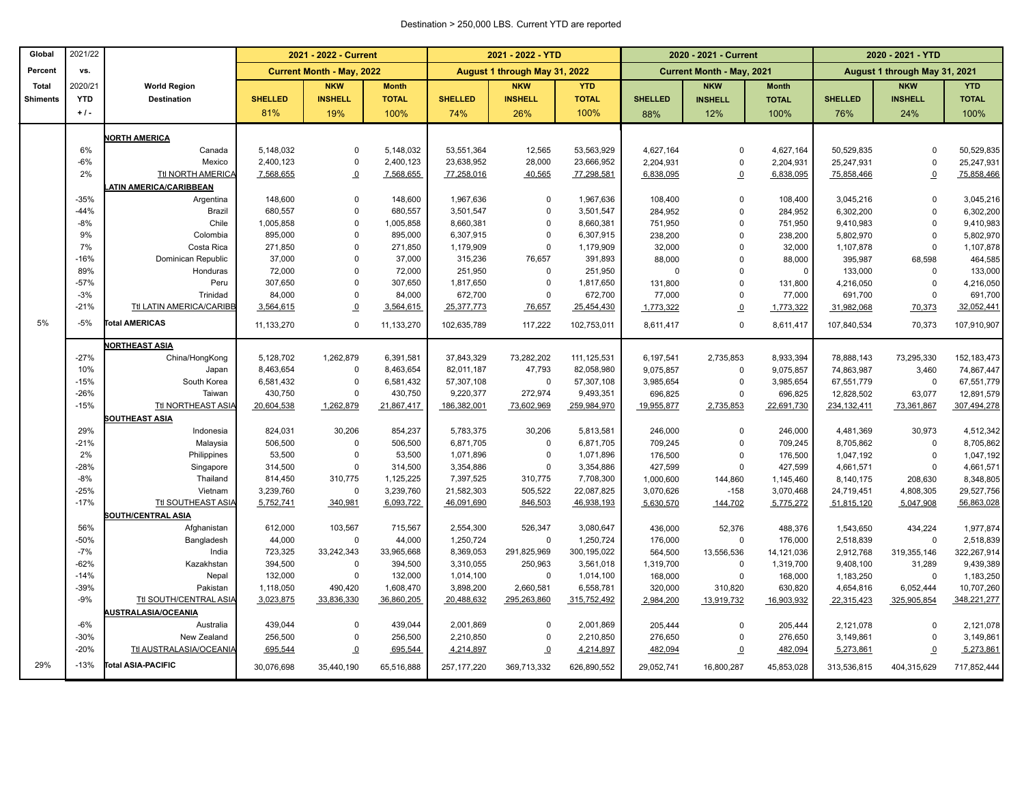#### Destination > 250,000 LBS. Current YTD are reported

| Global          | 2021/22    |                                |                | 2021 - 2022 - Current            |              |                | 2021 - 2022 - YTD             |              |                | 2020 - 2021 - Current            |              |                | 2020 - 2021 - YTD             |               |
|-----------------|------------|--------------------------------|----------------|----------------------------------|--------------|----------------|-------------------------------|--------------|----------------|----------------------------------|--------------|----------------|-------------------------------|---------------|
| Percent         | VS.        |                                |                | <b>Current Month - May, 2022</b> |              |                | August 1 through May 31, 2022 |              |                | <b>Current Month - May, 2021</b> |              |                | August 1 through May 31, 2021 |               |
| <b>Total</b>    | 2020/21    | <b>World Region</b>            |                | <b>NKW</b>                       | <b>Month</b> |                | <b>NKW</b>                    | <b>YTD</b>   |                | <b>NKW</b>                       | <b>Month</b> |                | <b>NKW</b>                    | <b>YTD</b>    |
| <b>Shiments</b> | <b>YTD</b> | <b>Destination</b>             | <b>SHELLED</b> | <b>INSHELL</b>                   | <b>TOTAL</b> | <b>SHELLED</b> | <b>INSHELL</b>                | <b>TOTAL</b> | <b>SHELLED</b> | <b>INSHELL</b>                   | <b>TOTAL</b> | <b>SHELLED</b> | <b>INSHELL</b>                | <b>TOTAL</b>  |
|                 | $+1$ .     |                                | 81%            | 19%                              | 100%         | 74%            | 26%                           | 100%         | 88%            | 12%                              | 100%         | 76%            | 24%                           | 100%          |
|                 |            | <b>VORTH AMERICA</b>           |                |                                  |              |                |                               |              |                |                                  |              |                |                               |               |
|                 | 6%         | Canada                         | 5,148,032      | $\mathbf{0}$                     | 5,148,032    | 53,551,364     | 12,565                        | 53,563,929   | 4,627,164      | $\Omega$                         | 4,627,164    | 50,529,835     | $\Omega$                      | 50,529,835    |
|                 | $-6%$      | Mexico                         | 2,400,123      | $\mathbf 0$                      | 2,400,123    | 23,638,952     | 28,000                        | 23,666,952   | 2,204,931      | $\mathsf 0$                      | 2,204,931    | 25,247,931     | $\Omega$                      | 25,247,931    |
|                 | 2%         | <b>Ttl NORTH AMERICA</b>       | 7,568,655      | $\Omega$                         | 7,568,655    | 77,258,016     | 40,565                        | 77,298,581   | 6,838,095      | $\Omega$                         | 6,838,095    | 75,858,466     | $\Omega$                      | 75,858,466    |
|                 |            | <b>ATIN AMERICA/CARIBBEAN</b>  |                |                                  |              |                |                               |              |                |                                  |              |                |                               |               |
|                 | $-35%$     | Argentina                      | 148,600        | $\mathbf 0$                      | 148,600      | 1,967,636      | $\mathbf 0$                   | 1,967,636    | 108,400        | $\Omega$                         | 108,400      | 3,045,216      | $\Omega$                      | 3,045,216     |
|                 | $-44%$     | Brazil                         | 680,557        | $\mathbf 0$                      | 680,557      | 3,501,547      | $\mathbf 0$                   | 3,501,547    | 284,952        | $\mathbf 0$                      | 284,952      | 6,302,200      | $\Omega$                      | 6,302,200     |
|                 | $-8%$      | Chile                          | 1,005,858      | $\theta$                         | 1,005,858    | 8,660,381      | $\Omega$                      | 8,660,381    | 751,950        | $\mathbf 0$                      | 751,950      | 9,410,983      | $\Omega$                      | 9,410,983     |
|                 | 9%         | Colombia                       | 895,000        | $\mathbf 0$                      | 895,000      | 6,307,915      | $\mathbf 0$                   | 6,307,915    | 238,200        | $\mathbf 0$                      | 238,200      | 5,802,970      | $\Omega$                      | 5,802,970     |
|                 | 7%         | Costa Rica                     | 271,850        | $\theta$                         | 271,850      | 1,179,909      | $\mathbf 0$                   | 1,179,909    | 32,000         | $\mathbf 0$                      | 32,000       | 1,107,878      | $\Omega$                      | 1,107,878     |
|                 | $-16%$     | Dominican Republic             | 37,000         | $\Omega$                         | 37,000       | 315,236        | 76,657                        | 391,893      | 88,000         | $\Omega$                         | 88,000       | 395,987        | 68,598                        | 464,585       |
|                 | 89%        | Honduras                       | 72,000         | $\mathbf 0$                      | 72,000       | 251,950        | $\mathbf 0$                   | 251,950      | $\Omega$       | $\Omega$                         | $\mathbf 0$  | 133,000        | $\Omega$                      | 133,000       |
|                 | $-57%$     | Peru                           | 307,650        | $\Omega$                         | 307,650      | 1,817,650      | $\mathsf 0$                   | 1,817,650    | 131,800        | $\Omega$                         | 131,800      | 4,216,050      | $\Omega$                      | 4,216,050     |
|                 | $-3%$      | Trinidad                       | 84,000         | $\mathbf 0$                      | 84,000       | 672,700        | 0                             | 672,700      | 77,000         | $\Omega$                         | 77,000       | 691,700        | $\Omega$                      | 691,700       |
|                 | $-21%$     | Ttl LATIN AMERICA/CARIBB       | 3,564,615      | $\overline{0}$                   | 3,564,615    | 25,377,773     | 76,657                        | 25,454,430   | 1,773,322      | $\Omega$                         | 1,773,322    | 31,982,068     | 70,373                        | 32,052,441    |
| 5%              | $-5%$      | <b>Total AMERICAS</b>          | 11,133,270     | $\overline{0}$                   | 11,133,270   | 102,635,789    | 117,222                       | 102,753,011  | 8,611,417      | $\mathbf 0$                      | 8,611,417    | 107,840,534    | 70,373                        | 107,910,907   |
|                 |            | <b>NORTHEAST ASIA</b>          |                |                                  |              |                |                               |              |                |                                  |              |                |                               |               |
|                 | $-27%$     | China/HongKong                 | 5,128,702      | 1,262,879                        | 6,391,581    | 37,843,329     | 73,282,202                    | 111,125,531  | 6,197,541      | 2,735,853                        | 8,933,394    | 78,888,143     | 73,295,330                    | 152, 183, 473 |
|                 | 10%        | Japan                          | 8,463,654      | $\mathbf{0}$                     | 8,463,654    | 82,011,187     | 47,793                        | 82,058,980   | 9,075,857      | $\mathbf 0$                      | 9,075,857    | 74,863,987     | 3,460                         | 74,867,447    |
|                 | $-15%$     | South Korea                    | 6,581,432      | $\mathbf{0}$                     | 6,581,432    | 57,307,108     | $\mathbf 0$                   | 57,307,108   | 3,985,654      | $\mathbf 0$                      | 3,985,654    | 67,551,779     | $\Omega$                      | 67,551,779    |
|                 | $-26%$     | Taiwan                         | 430,750        | $\mathbf 0$                      | 430,750      | 9,220,377      | 272,974                       | 9,493,351    | 696,825        | $\mathbf 0$                      | 696,825      | 12,828,502     | 63,077                        | 12,891,579    |
|                 | $-15%$     | Ttl NORTHEAST ASIA             | 20,604,538     | 1,262,879                        | 21,867,417   | 186,382,001    | 73,602,969                    | 259,984,970  | 19,955,877     | 2,735,853                        | 22,691,730   | 234,132,411    | 73,361,867                    | 307,494,278   |
|                 |            | <b>SOUTHEAST ASIA</b>          |                |                                  |              |                |                               |              |                |                                  |              |                |                               |               |
|                 | 29%        | Indonesia                      | 824,031        | 30,206                           | 854,237      | 5,783,375      | 30,206                        | 5,813,581    | 246,000        | $\mathbf 0$                      | 246,000      | 4,481,369      | 30,973                        | 4,512,342     |
|                 | $-21%$     | Malaysia                       | 506,500        | $\mathbf 0$                      | 506,500      | 6,871,705      | $\mathbf 0$                   | 6,871,705    | 709,245        | $\mathbf 0$                      | 709,245      | 8,705,862      | $\Omega$                      | 8,705,862     |
|                 | 2%         | Philippines                    | 53,500         | $\mathbf 0$                      | 53,500       | 1,071,896      | $\mathbf 0$                   | 1,071,896    | 176,500        | $\mathbf 0$                      | 176,500      | 1,047,192      | $\Omega$                      | 1,047,192     |
|                 | $-28%$     | Singapore                      | 314,500        | $\mathbf 0$                      | 314,500      | 3,354,886      | $\mathbf 0$                   | 3,354,886    | 427,599        | $\mathbf 0$                      | 427,599      | 4,661,571      | $\Omega$                      | 4,661,571     |
|                 | $-8%$      | Thailand                       | 814,450        | 310,775                          | 1,125,225    | 7,397,525      | 310,775                       | 7,708,300    | 1,000,600      | 144,860                          | 1,145,460    | 8,140,175      | 208,630                       | 8,348,805     |
|                 | $-25%$     | Vietnam                        | 3,239,760      | $\Omega$                         | 3,239,760    | 21,582,303     | 505,522                       | 22,087,825   | 3,070,626      | $-158$                           | 3,070,468    | 24,719,451     | 4,808,305                     | 29,527,756    |
|                 | $-17%$     | Ttl SOUTHEAST ASIA             | 5,752,741      | 340,981                          | 6,093,722    | 46,091,690     | 846,503                       | 46,938,193   | 5,630,570      | 144,702                          | 5,775,272    | 51,815,120     | 5,047,908                     | 56,863,028    |
|                 |            | <b>SOUTH/CENTRAL ASIA</b>      |                |                                  |              |                |                               |              |                |                                  |              |                |                               |               |
|                 | 56%        | Afghanistan                    | 612,000        | 103,567                          | 715,567      | 2,554,300      | 526,347                       | 3,080,647    | 436.000        | 52,376                           | 488.376      | 1,543,650      | 434.224                       | 1,977,874     |
|                 | $-50%$     | Bangladesh                     | 44,000         | $\mathbf 0$                      | 44,000       | 1,250,724      | $\mathsf 0$                   | 1,250,724    | 176,000        | $\mathbf 0$                      | 176,000      | 2,518,839      | $\Omega$                      | 2,518,839     |
|                 | $-7%$      | India                          | 723,325        | 33,242,343                       | 33,965,668   | 8,369,053      | 291,825,969                   | 300,195,022  | 564,500        | 13,556,536                       | 14,121,036   | 2,912,768      | 319,355,146                   | 322,267,914   |
|                 | $-62%$     | Kazakhstan                     | 394,500        | $\mathbf{0}$                     | 394,500      | 3,310,055      | 250,963                       | 3,561,018    | 1,319,700      | $\mathbf 0$                      | 1,319,700    | 9,408,100      | 31,289                        | 9,439,389     |
|                 | $-14%$     | Nepal                          | 132,000        | $\Omega$                         | 132,000      | 1,014,100      | $\mathbf 0$                   | 1,014,100    | 168,000        | $\Omega$                         | 168,000      | 1,183,250      | $\Omega$                      | 1,183,250     |
|                 | $-39%$     | Pakistan                       | 1,118,050      | 490,420                          | 1,608,470    | 3,898,200      | 2,660,581                     | 6,558,781    | 320,000        | 310,820                          | 630,820      | 4,654,816      | 6,052,444                     | 10,707,260    |
|                 | $-9%$      | Ttl SOUTH/CENTRAL ASIA         | 3,023,875      | 33,836,330                       | 36,860,205   | 20,488,632     | 295,263,860                   | 315,752,492  | 2,984,200      | 13,919,732                       | 16,903,932   | 22,315,423     | 325,905,854                   | 348,221,277   |
|                 |            | <b>IUSTRALASIA/OCEANIA</b>     |                |                                  |              |                |                               |              |                |                                  |              |                |                               |               |
|                 | $-6%$      | Australia                      | 439,044        | $\mathbf{0}$                     | 439,044      | 2,001,869      | $\Omega$                      | 2,001,869    | 205,444        | $\Omega$                         | 205,444      | 2,121,078      | $\Omega$                      | 2,121,078     |
|                 | $-30%$     | New Zealand                    | 256,500        | $\mathbf 0$                      | 256,500      | 2,210,850      | $\mathbf 0$                   | 2,210,850    | 276,650        | $\mathbf 0$                      | 276,650      | 3,149,861      | $\Omega$                      | 3,149,861     |
|                 | $-20%$     | <b>Ttl AUSTRALASIA/OCEANIA</b> | 695,544        | $\Omega$                         | 695,544      | 4,214,897      | $\Omega$                      | 4,214,897    | 482,094        | $\overline{\mathbf{0}}$          | 482,094      | 5,273,861      | $\mathbf 0$                   | 5,273,861     |
| 29%             | $-13%$     | <b>Total ASIA-PACIFIC</b>      | 30,076,698     | 35,440,190                       | 65,516,888   | 257, 177, 220  | 369,713,332                   | 626,890,552  | 29,052,741     | 16,800,287                       | 45,853,028   | 313,536,815    | 404,315,629                   | 717,852,444   |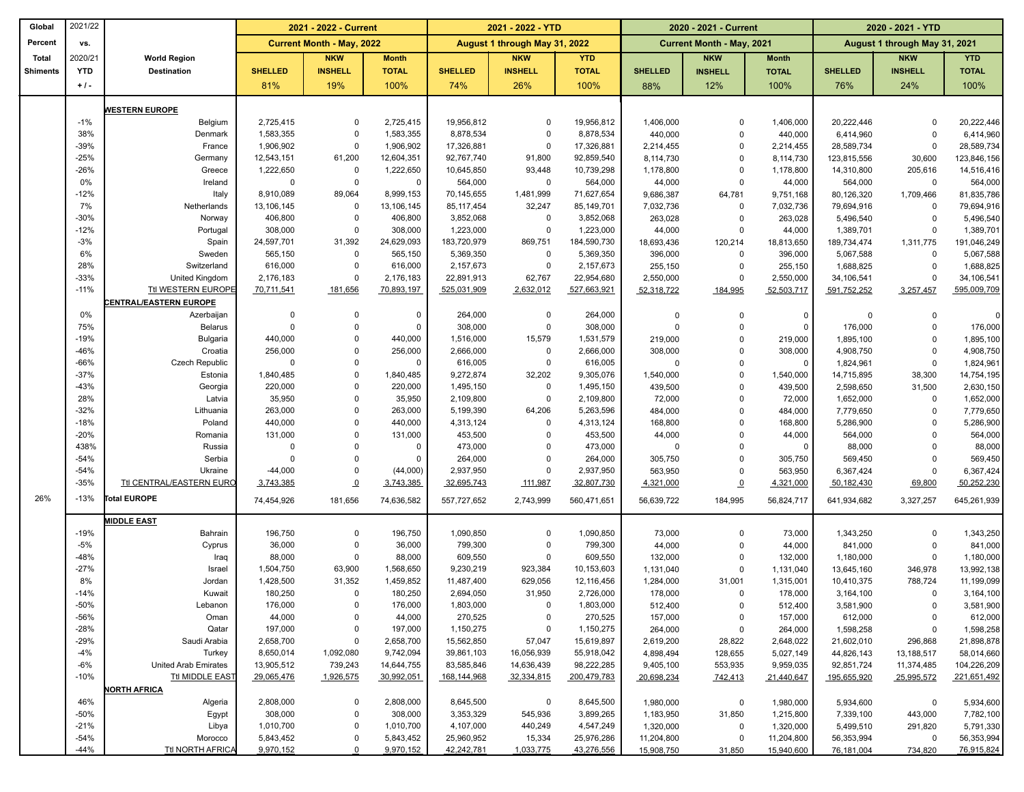| Global          | 2021/22          |                                  |                      | 2021 - 2022 - Current            |                      |                        | 2021 - 2022 - YTD             |                        | 2020 - 2021 - Current   |                                  |                         | 2020 - 2021 - YTD       |                               |                         |
|-----------------|------------------|----------------------------------|----------------------|----------------------------------|----------------------|------------------------|-------------------------------|------------------------|-------------------------|----------------------------------|-------------------------|-------------------------|-------------------------------|-------------------------|
| Percent         | vs.              |                                  |                      | <b>Current Month - May, 2022</b> |                      |                        | August 1 through May 31, 2022 |                        |                         | <b>Current Month - May, 2021</b> |                         |                         | August 1 through May 31, 2021 |                         |
| <b>Total</b>    | 2020/21          | <b>World Region</b>              |                      | <b>NKW</b>                       | <b>Month</b>         |                        | <b>NKW</b>                    | <b>YTD</b>             |                         | <b>NKW</b>                       | <b>Month</b>            |                         | <b>NKW</b>                    | <b>YTD</b>              |
| <b>Shiments</b> | <b>YTD</b>       | <b>Destination</b>               | <b>SHELLED</b>       | <b>INSHELL</b>                   | <b>TOTAL</b>         | <b>SHELLED</b>         | <b>INSHELL</b>                | <b>TOTAL</b>           | <b>SHELLED</b>          | <b>INSHELL</b>                   | <b>TOTAL</b>            | <b>SHELLED</b>          | <b>INSHELL</b>                | <b>TOTAL</b>            |
|                 | $+1$ .           |                                  | 81%                  | 19%                              | 100%                 | 74%                    | 26%                           | 100%                   | 88%                     | 12%                              | 100%                    | 76%                     | 24%                           | 100%                    |
|                 |                  |                                  |                      |                                  |                      |                        |                               |                        |                         |                                  |                         |                         |                               |                         |
|                 | $-1%$            | <b>WESTERN EUROPE</b>            | 2,725,415            | $\Omega$                         | 2,725,415            | 19,956,812             | 0                             | 19,956,812             |                         | $\Omega$                         |                         |                         |                               |                         |
|                 | 38%              | Belgium<br>Denmark               | 1,583,355            | $\Omega$                         | 1,583,355            | 8,878,534              | 0                             | 8,878,534              | 1,406,000<br>440,000    | $\mathbf 0$                      | 1,406,000<br>440,000    | 20,222,446<br>6,414,960 | $\Omega$<br>$\Omega$          | 20,222,446<br>6,414,960 |
|                 | $-39%$           | France                           | 1,906,902            | $\Omega$                         | 1,906,902            | 17,326,881             | $\mathbf 0$                   | 17,326,881             | 2,214,455               | $\Omega$                         | 2,214,455               | 28,589,734              | $\Omega$                      | 28,589,734              |
|                 | $-25%$           | Germany                          | 12,543,151           | 61,200                           | 12,604,351           | 92,767,740             | 91,800                        | 92,859,540             | 8,114,730               | $\mathbf 0$                      | 8,114,730               | 123,815,556             | 30,600                        | 123,846,156             |
|                 | $-26%$           | Greece                           | 1,222,650            | 0                                | 1,222,650            | 10,645,850             | 93,448                        | 10,739,298             | 1,178,800               | $\mathbf 0$                      | 1,178,800               | 14,310,800              | 205,616                       | 14,516,416              |
|                 | 0%               | Ireland                          | 0                    | $\mathbf 0$                      | $\mathbf 0$          | 564,000                | $\mathbf 0$                   | 564,000                | 44,000                  | $\mathbf 0$                      | 44,000                  | 564,000                 | $\mathbf 0$                   | 564,000                 |
|                 | $-12%$           | Italy                            | 8,910,089            | 89,064                           | 8,999,153            | 70,145,655             | 1,481,999                     | 71,627,654             | 9,686,387               | 64,781                           | 9,751,168               | 80,126,320              | 1,709,466                     | 81,835,786              |
|                 | 7%               | Netherlands                      | 13,106,145           | $\mathbf 0$                      | 13,106,145           | 85, 117, 454           | 32,247                        | 85,149,701             | 7,032,736               | $\mathbf 0$                      | 7,032,736               | 79,694,916              | $\Omega$                      | 79,694,916              |
|                 | $-30%$           | Norway                           | 406,800              | $\Omega$                         | 406,800              | 3,852,068              | $\mathbf 0$                   | 3,852,068              | 263,028                 | $\Omega$                         | 263,028                 | 5,496,540               | $\Omega$                      | 5,496,540               |
|                 | $-12%$           | Portugal                         | 308,000              | $\Omega$                         | 308,000              | 1,223,000              | $\mathbf 0$                   | 1,223,000              | 44,000                  | $\Omega$                         | 44,000                  | 1,389,701               | $\Omega$                      | 1,389,701               |
|                 | $-3%$            | Spain                            | 24,597,701           | 31,392                           | 24,629,093           | 183,720,979            | 869,751                       | 184,590,730            | 18,693,436              | 120,214                          | 18,813,650              | 189,734,474             | 1,311,775                     | 191,046,249             |
|                 | 6%               | Sweden                           | 565,150              | $\mathbf 0$                      | 565,150              | 5,369,350              | $\mathbf 0$                   | 5,369,350              | 396,000                 | $\mathbf 0$                      | 396,000                 | 5,067,588               | $\Omega$                      | 5,067,588               |
|                 | 28%              | Switzerland                      | 616,000              | $\Omega$                         | 616,000              | 2,157,673              | $\mathbf 0$                   | 2,157,673              | 255,150                 | $\Omega$                         | 255,150                 | 1,688,825               | $\Omega$                      | 1,688,825               |
|                 | $-33%$           | United Kingdom                   | 2,176,183            | $\Omega$                         | 2,176,183            | 22,891,913             | 62,767                        | 22,954,680             | 2,550,000               | $\Omega$                         | 2,550,000               | 34,106,541              | $\Omega$                      | 34,106,541              |
|                 | $-11%$           | <b>Ttl WESTERN EUROPE</b>        | 70,711,541           | 181,656                          | 70,893,197           | 525,031,909            | 2,632,012                     | 527,663,921            | 52,318,722              | 184,995                          | 52,503,717              | 591,752,252             | 3,257,457                     | 595,009,709             |
|                 |                  | <b>ENTRAL/EASTERN EUROPE</b>     |                      |                                  |                      |                        |                               |                        |                         |                                  |                         |                         |                               |                         |
|                 | 0%               | Azerbaijan                       | 0                    | $\mathbf 0$                      | $\Omega$             | 264,000                | 0                             | 264,000                | 0                       | $\mathbf 0$                      | 0                       | $\overline{0}$          | $\mathbf 0$                   | $\Omega$                |
|                 | 75%              | <b>Belarus</b>                   | $\mathbf 0$          | $\mathbf 0$                      | $\Omega$             | 308,000                | 0                             | 308,000                | 0                       | $\mathbf 0$                      | 0                       | 176,000                 | $\Omega$                      | 176,000                 |
|                 | $-19%$           | <b>Bulgaria</b>                  | 440,000              | $\Omega$<br>$\Omega$             | 440,000              | 1,516,000              | 15,579                        | 1,531,579              | 219,000                 | $\mathbf 0$                      | 219,000                 | 1,895,100               | $\Omega$                      | 1,895,100               |
|                 | $-46%$<br>$-66%$ | Croatia                          | 256,000<br>$\Omega$  | $\Omega$                         | 256,000<br>$\Omega$  | 2,666,000              | 0<br>0                        | 2,666,000              | 308,000<br>$\Omega$     | $\Omega$<br>$\Omega$             | 308,000<br>$\Omega$     | 4,908,750               | $\Omega$<br>$\Omega$          | 4,908,750               |
|                 | $-37%$           | <b>Czech Republic</b><br>Estonia | 1,840,485            | $\Omega$                         | 1,840,485            | 616,005<br>9,272,874   | 32,202                        | 616,005<br>9,305,076   | 1,540,000               | $\mathbf 0$                      | 1,540,000               | 1,824,961<br>14,715,895 | 38,300                        | 1,824,961<br>14,754,195 |
|                 | $-43%$           | Georgia                          | 220,000              | $\Omega$                         | 220,000              | 1,495,150              | $\mathbf 0$                   | 1,495,150              | 439,500                 | $\mathbf 0$                      | 439,500                 | 2,598,650               | 31,500                        | 2,630,150               |
|                 | 28%              | Latvia                           | 35,950               | $\mathbf 0$                      | 35,950               | 2,109,800              | $\mathbf 0$                   | 2,109,800              | 72,000                  | $\mathbf 0$                      | 72,000                  | 1,652,000               | $\Omega$                      | 1,652,000               |
|                 | $-32%$           | Lithuania                        | 263,000              | $\Omega$                         | 263,000              | 5,199,390              | 64,206                        | 5,263,596              | 484,000                 | $\mathbf 0$                      | 484,000                 | 7,779,650               | $\Omega$                      | 7,779,650               |
|                 | $-18%$           | Poland                           | 440,000              | $\Omega$                         | 440,000              | 4,313,124              | 0                             | 4,313,124              | 168,800                 | $\mathbf 0$                      | 168,800                 | 5,286,900               | $\Omega$                      | 5,286,900               |
|                 | $-20%$           | Romania                          | 131,000              | $\Omega$                         | 131,000              | 453,500                | $\Omega$                      | 453,500                | 44,000                  | $\mathbf 0$                      | 44,000                  | 564,000                 | $\Omega$                      | 564,000                 |
|                 | 438%             | Russia                           | $\Omega$             | $\Omega$                         | 0                    | 473,000                | $\Omega$                      | 473,000                | 0                       | $\Omega$                         | 0                       | 88,000                  | $\Omega$                      | 88,000                  |
|                 | $-54%$           | Serbia                           | $\mathbf 0$          | $\Omega$                         | $\Omega$             | 264,000                | $\Omega$                      | 264,000                | 305,750                 | $\mathbf 0$                      | 305,750                 | 569,450                 | $\Omega$                      | 569,450                 |
|                 | $-54%$           | Ukraine                          | $-44,000$            | $\Omega$                         | (44,000)             | 2,937,950              | $\mathbf 0$                   | 2,937,950              | 563,950                 | $\mathbf 0$                      | 563,950                 | 6,367,424               | $\Omega$                      | 6,367,424               |
|                 | $-35%$           | Ttl CENTRAL/EASTERN EURO         | 3,743,385            | $\overline{0}$                   | 3,743,385            | 32,695,743             | 111,987                       | 32,807,730             | 4,321,000               | $\underline{\mathbf{0}}$         | 4,321,000               | 50,182,430              | 69,800                        | 50,252,230              |
| 26%             | $-13%$           | <b>Total EUROPE</b>              | 74,454,926           | 181,656                          | 74,636,582           | 557,727,652            | 2,743,999                     | 560,471,651            | 56,639,722              | 184,995                          | 56,824,717              | 641,934,682             | 3,327,257                     | 645,261,939             |
|                 |                  | <b>MIDDLE EAST</b>               |                      |                                  |                      |                        |                               |                        |                         |                                  |                         |                         |                               |                         |
|                 | $-19%$           | Bahrain                          | 196,750              | $\mathbf 0$                      | 196,750              | 1,090,850              | 0                             | 1,090,850              | 73,000                  | $\Omega$                         | 73,000                  | 1,343,250               | $\Omega$                      | 1,343,250               |
|                 | $-5%$            | Cyprus                           | 36,000               | $\mathbf 0$                      | 36,000               | 799,300                | 0                             | 799,300                | 44,000                  | $\Omega$                         | 44,000                  | 841,000                 | $\Omega$                      | 841,000                 |
|                 | $-48%$           | Iraq                             | 88,000               | $\Omega$                         | 88,000               | 609,550                | 0                             | 609,550                | 132,000                 | $\Omega$                         | 132,000                 | 1,180,000               | $\Omega$                      | 1,180,000               |
|                 | $-27%$           | Israel                           | 1,504,750            | 63,900                           | 1,568,650            | 9,230,219              | 923,384                       | 10,153,603             | 1,131,040               | $\mathbf 0$                      | 1,131,040               | 13,645,160              | 346,978                       | 13,992,138              |
|                 | 8%               | Jordan                           | 1,428,500            | 31,352                           | 1,459,852            | 11,487,400             | 629,056                       | 12,116,456             | 1,284,000               | 31,001                           | 1,315,001               | 10,410,375              | 788,724                       | 11,199,099              |
|                 | $-14%$           | Kuwait                           | 180,250              | $\mathbf 0$                      | 180,250              | 2,694,050              | 31,950                        | 2,726,000              | 178,000                 | $\mathbf 0$                      | 178,000                 | 3,164,100               | $\Omega$                      | 3,164,100               |
|                 | -50%             | Lebanon                          | 176,000              | 0                                | 176,000              | 1,803,000              | 0                             | 1,803,000              | 512,400                 | 0                                | 512,400                 | 3,581,900               | 0                             | 3,581,900               |
|                 | $-56%$           | Oman                             | 44,000               | $\mathbf 0$                      | 44,000               | 270,525                | 0                             | 270,525                | 157,000                 | $\mathbf 0$                      | 157,000                 | 612,000                 | $\mathbf 0$                   | 612,000                 |
|                 | $-28%$           | Qatar                            | 197,000              | $\mathbf 0$                      | 197,000              | 1,150,275              | $\mathbf 0$                   | 1,150,275              | 264,000                 | $\mathbf 0$                      | 264,000                 | 1,598,258               | $\Omega$                      | 1,598,258               |
|                 | $-29%$           | Saudi Arabia                     | 2,658,700            | $\mathbf 0$                      | 2,658,700            | 15,562,850             | 57,047                        | 15,619,897             | 2,619,200               | 28,822                           | 2,648,022               | 21,602,010              | 296,868                       | 21,898,878              |
|                 | $-4%$            | Turkey                           | 8,650,014            | 1,092,080                        | 9,742,094            | 39,861,103             | 16,056,939                    | 55,918,042             | 4,898,494               | 128,655                          | 5,027,149               | 44,826,143              | 13,188,517                    | 58,014,660              |
|                 | $-6%$            | <b>United Arab Emirates</b>      | 13,905,512           | 739,243                          | 14,644,755           | 83,585,846             | 14,636,439                    | 98,222,285             | 9,405,100               | 553,935                          | 9,959,035               | 92,851,724              | 11,374,485                    | 104,226,209             |
|                 | $-10%$           | Ttl MIDDLE EAST                  | 29,065,476           | 1,926,575                        | 30,992,051           | 168,144,968            | 32,334,815                    | 200,479,783            | 20,698,234              | 742,413                          | 21,440,647              | 195,655,920             | 25,995,572                    | 221,651,492             |
|                 |                  | <b>NORTH AFRICA</b>              |                      |                                  |                      |                        |                               |                        |                         |                                  |                         |                         |                               |                         |
|                 | 46%              | Algeria                          | 2,808,000            | 0                                | 2,808,000            | 8,645,500              | 0                             | 8,645,500              | 1,980,000               | 0                                | 1,980,000               | 5,934,600               | 0                             | 5,934,600               |
|                 | $-50%$<br>$-21%$ | Egypt<br>Libya                   | 308,000<br>1,010,700 | $\mathbf 0$<br>0                 | 308,000<br>1,010,700 | 3,353,329<br>4,107,000 | 545,936<br>440,249            | 3,899,265<br>4,547,249 | 1,183,950               | 31,850<br>$\mathbf 0$            | 1,215,800               | 7,339,100               | 443,000<br>291,820            | 7,782,100               |
|                 | $-54%$           | Morocco                          | 5,843,452            | $\mathbf 0$                      | 5,843,452            | 25,960,952             | 15,334                        | 25,976,286             | 1,320,000<br>11,204,800 | 0                                | 1,320,000<br>11,204,800 | 5,499,510<br>56,353,994 | $\mathbf 0$                   | 5,791,330<br>56,353,994 |
|                 | $-44%$           | <b>Ttl NORTH AFRICA</b>          | 9,970,152            | $\Omega$                         | 9,970,152            | 42,242,781             | 1,033,775                     | 43,276,556             | 15,908,750              | 31,850                           | 15,940,600              | 76,181,004              | 734,820                       | 76,915,824              |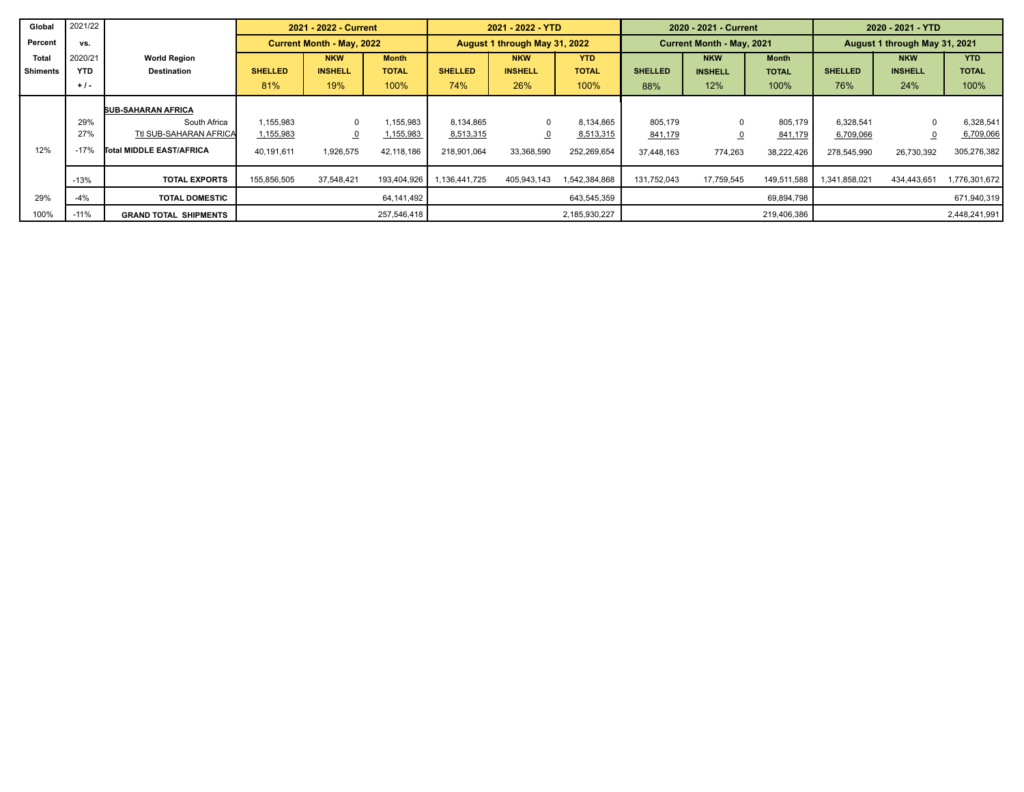| Global          | 2021/22    |                              |                                  | 2021 - 2022 - Current |              |                | 2021 - 2022 - YTD             |               |                | 2020 - 2021 - Current     |              | 2020 - 2021 - YTD             |                |               |
|-----------------|------------|------------------------------|----------------------------------|-----------------------|--------------|----------------|-------------------------------|---------------|----------------|---------------------------|--------------|-------------------------------|----------------|---------------|
| Percent         | vs.        |                              | <b>Current Month - May, 2022</b> |                       |              |                | August 1 through May 31, 2022 |               |                | Current Month - May, 2021 |              | August 1 through May 31, 2021 |                |               |
| Total           | 2020/21    | <b>World Region</b>          |                                  | <b>NKW</b>            | <b>Month</b> |                | <b>NKW</b>                    | <b>YTD</b>    |                | <b>NKW</b>                | <b>Month</b> |                               | <b>NKW</b>     | <b>YTD</b>    |
| <b>Shiments</b> | <b>YTD</b> | <b>Destination</b>           | <b>SHELLED</b>                   | <b>INSHELL</b>        | <b>TOTAL</b> | <b>SHELLED</b> | <b>INSHELL</b>                | <b>TOTAL</b>  | <b>SHELLED</b> | <b>INSHELL</b>            | <b>TOTAL</b> | <b>SHELLED</b>                | <b>INSHELL</b> | <b>TOTAL</b>  |
|                 | $+1$ .     |                              | 81%                              | 19%                   | 100%         | 74%            | 26%                           | 100%          | 88%            | 12%                       | 100%         | 76%                           | 24%            | 100%          |
|                 |            | <b>SUB-SAHARAN AFRICA</b>    |                                  |                       |              |                |                               |               |                |                           |              |                               |                |               |
|                 | 29%        | South Africa                 | 1,155,983                        | $\Omega$              | 1,155,983    | 8.134.865      | $\mathbf{0}$                  | 8,134,865     | 805,179        |                           | 805,179      | 6,328,541                     |                | 6,328,541     |
|                 | 27%        | Ttl SUB-SAHARAN AFRICA       | 1,155,983                        | $\overline{0}$        | 1,155,983    | 8,513,315      | $\overline{0}$                | 8,513,315     | 841,179        |                           | 841,179      | 6,709,066                     |                | 6,709,066     |
| 12%             | $-17%$     | Total MIDDLE EAST/AFRICA     | 40,191,611                       | 1,926,575             | 42,118,186   | 218,901,064    | 33,368,590                    | 252,269,654   | 37,448,163     | 774,263                   | 38,222,426   | 278,545,990                   | 26,730,392     | 305,276,382   |
|                 | $-13%$     | <b>TOTAL EXPORTS</b>         | 155,856,505                      | 37,548,421            | 193,404,926  | 1,136,441,725  | 405,943,143                   | 1,542,384,868 | 131,752,043    | 17,759,545                | 149,511,588  | 341,858,021                   | 434,443,651    | 1,776,301,672 |
| 29%             | $-4%$      | <b>TOTAL DOMESTIC</b>        |                                  |                       | 64,141,492   |                |                               | 643,545,359   |                |                           | 69,894,798   |                               |                | 671,940,319   |
| 100%            | $-11%$     | <b>GRAND TOTAL SHIPMENTS</b> |                                  |                       | 257,546,418  |                |                               | 2,185,930,227 |                |                           | 219,406,386  |                               |                | 2,448,241,991 |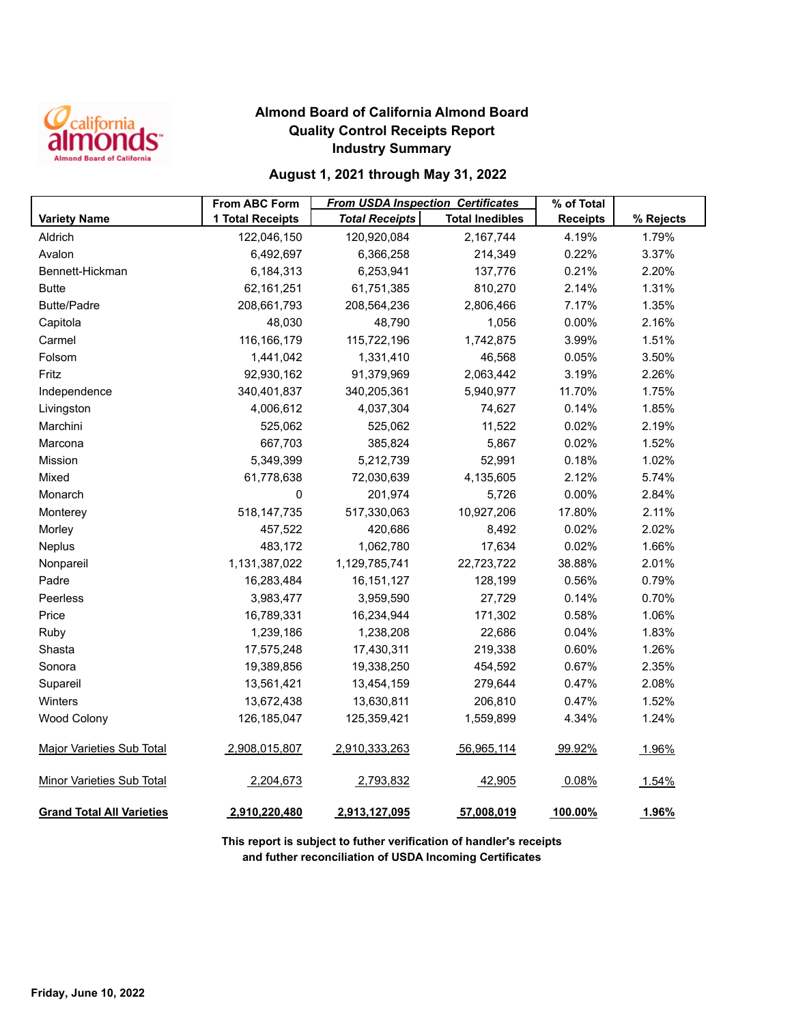

## **Almond Board of California Almond Board Quality Control Receipts Report Industry Summary**

## **August 1, 2021 through May 31, 2022**

|                                  | <b>From ABC Form</b> | <b>From USDA Inspection Certificates</b> |                        | % of Total      |           |
|----------------------------------|----------------------|------------------------------------------|------------------------|-----------------|-----------|
| <b>Variety Name</b>              | 1 Total Receipts     | <b>Total Receipts</b>                    | <b>Total Inedibles</b> | <b>Receipts</b> | % Rejects |
| Aldrich                          | 122,046,150          | 120,920,084                              | 2,167,744              | 4.19%           | 1.79%     |
| Avalon                           | 6,492,697            | 6,366,258                                | 214,349                | 0.22%           | 3.37%     |
| Bennett-Hickman                  | 6,184,313            | 6,253,941                                | 137,776                | 0.21%           | 2.20%     |
| <b>Butte</b>                     | 62,161,251           | 61,751,385                               | 810,270                | 2.14%           | 1.31%     |
| <b>Butte/Padre</b>               | 208,661,793          | 208,564,236                              | 2,806,466              | 7.17%           | 1.35%     |
| Capitola                         | 48,030               | 48,790                                   | 1,056                  | 0.00%           | 2.16%     |
| Carmel                           | 116, 166, 179        | 115,722,196                              | 1,742,875              | 3.99%           | 1.51%     |
| Folsom                           | 1,441,042            | 1,331,410                                | 46,568                 | 0.05%           | 3.50%     |
| Fritz                            | 92,930,162           | 91,379,969                               | 2,063,442              | 3.19%           | 2.26%     |
| Independence                     | 340,401,837          | 340,205,361                              | 5,940,977              | 11.70%          | 1.75%     |
| Livingston                       | 4,006,612            | 4,037,304                                | 74,627                 | 0.14%           | 1.85%     |
| Marchini                         | 525,062              | 525,062                                  | 11,522                 | 0.02%           | 2.19%     |
| Marcona                          | 667,703              | 385,824                                  | 5,867                  | 0.02%           | 1.52%     |
| <b>Mission</b>                   | 5,349,399            | 5,212,739                                | 52,991                 | 0.18%           | 1.02%     |
| Mixed                            | 61,778,638           | 72,030,639                               | 4,135,605              | 2.12%           | 5.74%     |
| Monarch                          | 0                    | 201,974                                  | 5,726                  | 0.00%           | 2.84%     |
| Monterey                         | 518, 147, 735        | 517,330,063                              | 10,927,206             | 17.80%          | 2.11%     |
| Morley                           | 457,522              | 420,686                                  | 8,492                  | 0.02%           | 2.02%     |
| Neplus                           | 483,172              | 1,062,780                                | 17,634                 | 0.02%           | 1.66%     |
| Nonpareil                        | 1,131,387,022        | 1,129,785,741                            | 22,723,722             | 38.88%          | 2.01%     |
| Padre                            | 16,283,484           | 16, 151, 127                             | 128,199                | 0.56%           | 0.79%     |
| Peerless                         | 3,983,477            | 3,959,590                                | 27,729                 | 0.14%           | 0.70%     |
| Price                            | 16,789,331           | 16,234,944                               | 171,302                | 0.58%           | 1.06%     |
| Ruby                             | 1,239,186            | 1,238,208                                | 22,686                 | 0.04%           | 1.83%     |
| Shasta                           | 17,575,248           | 17,430,311                               | 219,338                | 0.60%           | 1.26%     |
| Sonora                           | 19,389,856           | 19,338,250                               | 454,592                | 0.67%           | 2.35%     |
| Supareil                         | 13,561,421           | 13,454,159                               | 279,644                | 0.47%           | 2.08%     |
| Winters                          | 13,672,438           | 13,630,811                               | 206,810                | 0.47%           | 1.52%     |
| <b>Wood Colony</b>               | 126, 185, 047        | 125,359,421                              | 1,559,899              | 4.34%           | 1.24%     |
| <b>Major Varieties Sub Total</b> | 2,908,015,807        | 2,910,333,263                            | 56,965,114             | 99.92%          | 1.96%     |
| <b>Minor Varieties Sub Total</b> | 2,204,673            | 2,793,832                                | 42,905                 | 0.08%           | 1.54%     |
| <b>Grand Total All Varieties</b> | 2,910,220,480        | 2,913,127,095                            | 57,008,019             | 100.00%         | 1.96%     |

**This report is subject to futher verification of handler's receipts and futher reconciliation of USDA Incoming Certificates**